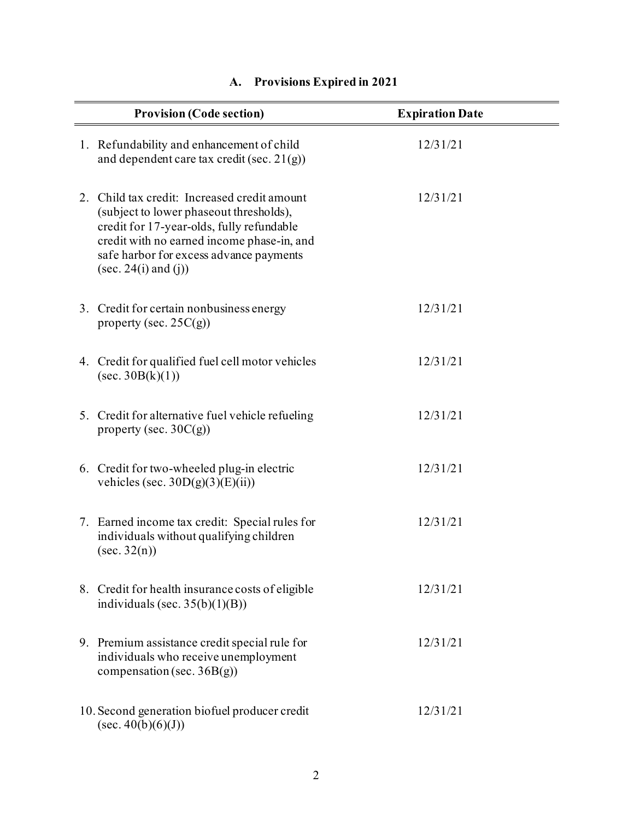| <b>Provision (Code section)</b> |                                                                                                                                                                                                                                                            | <b>Expiration Date</b> |
|---------------------------------|------------------------------------------------------------------------------------------------------------------------------------------------------------------------------------------------------------------------------------------------------------|------------------------|
|                                 | 1. Refundability and enhancement of child<br>and dependent care tax credit (sec. $21(g)$ )                                                                                                                                                                 | 12/31/21               |
|                                 | 2. Child tax credit: Increased credit amount<br>(subject to lower phaseout thresholds),<br>credit for 17-year-olds, fully refundable<br>credit with no earned income phase-in, and<br>safe harbor for excess advance payments<br>$(\sec. 24(i)$ and $(i))$ | 12/31/21               |
|                                 | 3. Credit for certain nonbusiness energy<br>property (sec. $25C(g)$ )                                                                                                                                                                                      | 12/31/21               |
|                                 | 4. Credit for qualified fuel cell motor vehicles<br>$(\sec. 30B(k)(1))$                                                                                                                                                                                    | 12/31/21               |
|                                 | 5. Credit for alternative fuel vehicle refueling<br>property (sec. $30C(g)$ )                                                                                                                                                                              | 12/31/21               |
|                                 | 6. Credit for two-wheeled plug-in electric<br>vehicles (sec. $30D(g)(3)(E)(ii)$ )                                                                                                                                                                          | 12/31/21               |
|                                 | 7. Earned income tax credit: Special rules for<br>individuals without qualifying children<br>$(\sec. 32(n))$                                                                                                                                               | 12/31/21               |
|                                 | 8. Credit for health insurance costs of eligible<br>individuals (sec. $35(b)(1)(B)$ )                                                                                                                                                                      | 12/31/21               |
|                                 | 9. Premium assistance credit special rule for<br>individuals who receive unemployment<br>compensation (sec. $36B(g)$ )                                                                                                                                     | 12/31/21               |
|                                 | 10. Second generation biofuel producer credit<br>$(\sec. 40(b)(6)(J))$                                                                                                                                                                                     | 12/31/21               |

## **A. Provisions Expired in 2021**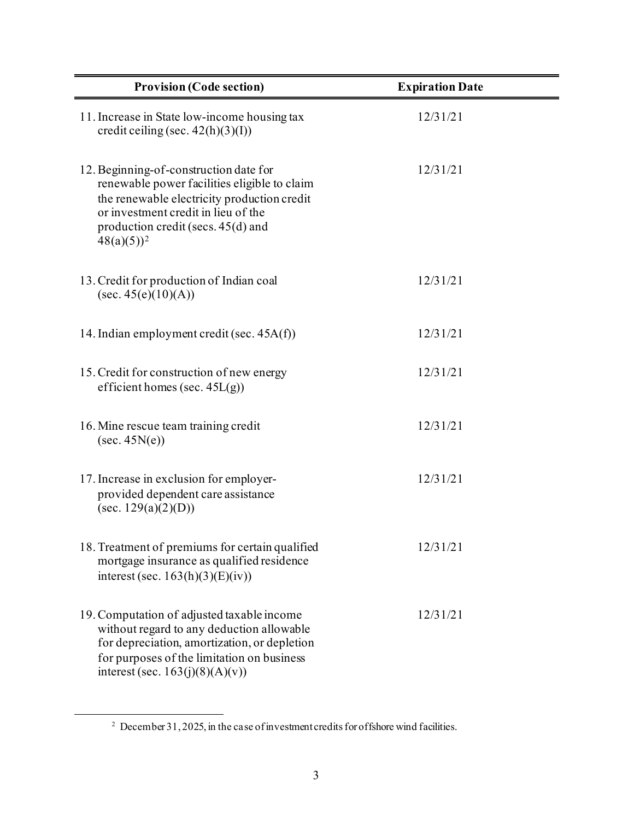| <b>Provision (Code section)</b>                                                                                                                                                                                                       | <b>Expiration Date</b> |
|---------------------------------------------------------------------------------------------------------------------------------------------------------------------------------------------------------------------------------------|------------------------|
| 11. Increase in State low-income housing tax<br>credit ceiling (sec. $42(h)(3)(I)$ )                                                                                                                                                  | 12/31/21               |
| 12. Beginning-of-construction date for<br>renewable power facilities eligible to claim<br>the renewable electricity production credit<br>or investment credit in lieu of the<br>production credit (secs. $45(d)$ and<br>$48(a)(5))^2$ | 12/31/21               |
| 13. Credit for production of Indian coal<br>(sec. 45(e)(10)(A))                                                                                                                                                                       | 12/31/21               |
| 14. Indian employment credit (sec. 45A(f))                                                                                                                                                                                            | 12/31/21               |
| 15. Credit for construction of new energy<br>efficient homes (sec. $45L(g)$ )                                                                                                                                                         | 12/31/21               |
| 16. Mine rescue team training credit<br>(sec. 45N(e))                                                                                                                                                                                 | 12/31/21               |
| 17. Increase in exclusion for employer-<br>provided dependent care assistance<br>(sec. $129(a)(2)(D)$ )                                                                                                                               | 12/31/21               |
| 18. Treatment of premiums for certain qualified<br>mortgage insurance as qualified residence<br>interest (sec. $163(h)(3)(E)(iv)$ )                                                                                                   | 12/31/21               |
| 19. Computation of adjusted taxable income<br>without regard to any deduction allowable<br>for depreciation, amortization, or depletion<br>for purposes of the limitation on business<br>interest (sec. 163(j)(8)(A)(v))              | 12/31/21               |

<sup>&</sup>lt;sup>2</sup> December 31, 2025, in the case of investment credits for offshore wind facilities.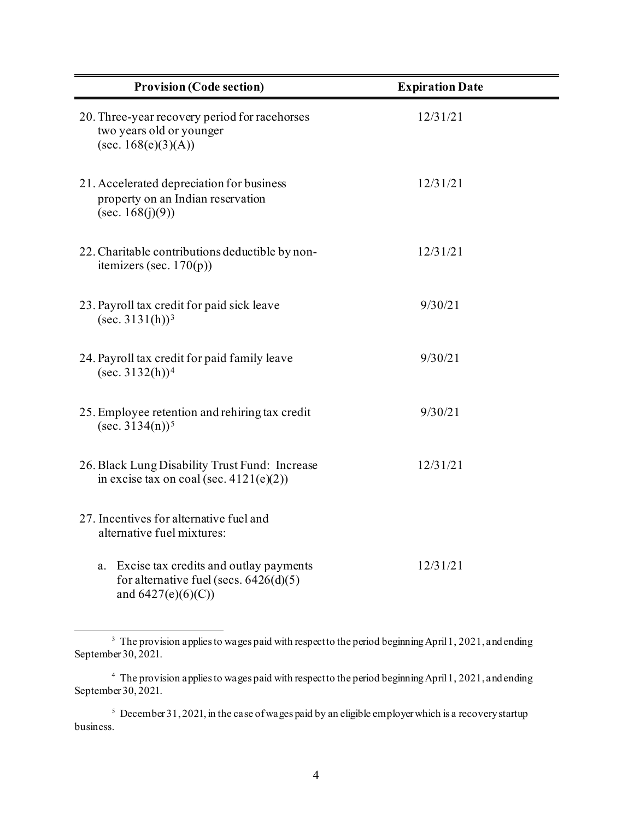| <b>Provision (Code section)</b>                                                                              | <b>Expiration Date</b> |
|--------------------------------------------------------------------------------------------------------------|------------------------|
| 20. Three-year recovery period for racehorses<br>two years old or younger<br>$(\sec. 168(e)(3)(A))$          | 12/31/21               |
| 21. Accelerated depreciation for business<br>property on an Indian reservation<br>(sec. $168(j)(9)$ )        | 12/31/21               |
| 22. Charitable contributions deductible by non-<br>itemizers (sec. $170(p)$ )                                | 12/31/21               |
| 23. Payroll tax credit for paid sick leave<br>$(\sec. 3131(h))^3$                                            | 9/30/21                |
| 24. Payroll tax credit for paid family leave<br>$(\sec. 3132(h))^4$                                          | 9/30/21                |
| 25. Employee retention and rehiring tax credit<br>$(\sec 3134(n))^5$                                         | 9/30/21                |
| 26. Black Lung Disability Trust Fund: Increase<br>in excise tax on coal (sec. $4121(e)(2)$ )                 | 12/31/21               |
| 27. Incentives for alternative fuel and<br>alternative fuel mixtures:                                        |                        |
| a. Excise tax credits and outlay payments<br>for alternative fuel (secs. $6426(d)(5)$<br>and $6427(e)(6)(C)$ | 12/31/21               |

<sup>&</sup>lt;sup>3</sup> The provision applies to wages paid with respect to the period beginning April 1, 2021, and ending September 30, 2021.

<sup>&</sup>lt;sup>4</sup> The provision applies to wages paid with respect to the period beginning April 1, 2021, and ending September 30, 2021.

<sup>&</sup>lt;sup>5</sup> December 31, 2021, in the case of wages paid by an eligible employer which is a recovery startup business.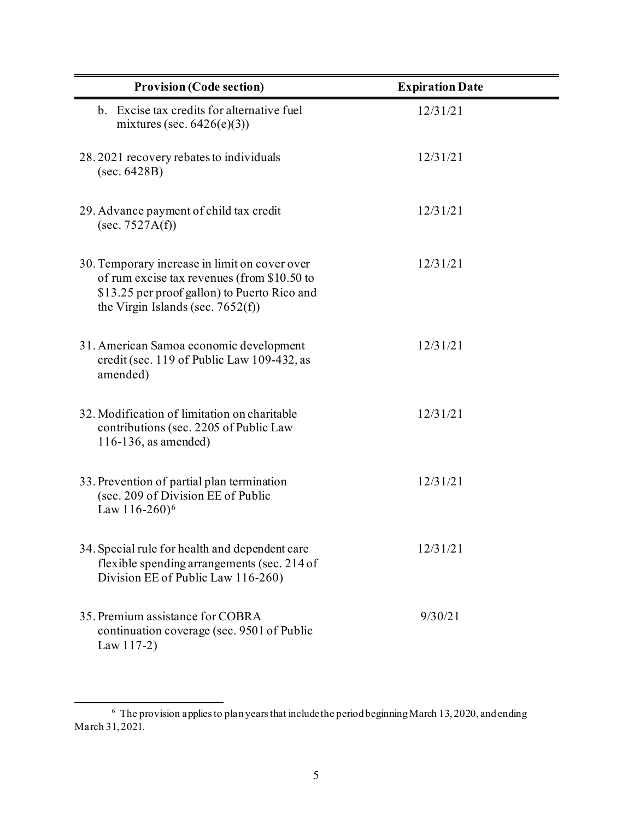| <b>Provision (Code section)</b>                                                                                                                                                      | <b>Expiration Date</b> |
|--------------------------------------------------------------------------------------------------------------------------------------------------------------------------------------|------------------------|
| b. Excise tax credits for alternative fuel<br>mixtures (sec. $6426(e)(3)$ )                                                                                                          | 12/31/21               |
| 28.2021 recovery rebates to individuals<br>(sec. 6428B)                                                                                                                              | 12/31/21               |
| 29. Advance payment of child tax credit<br>(sec. 7527A(f))                                                                                                                           | 12/31/21               |
| 30. Temporary increase in limit on cover over<br>of rum excise tax revenues (from \$10.50 to<br>\$13.25 per proof gallon) to Puerto Rico and<br>the Virgin Islands (sec. $7652(f)$ ) | 12/31/21               |
| 31. American Samoa economic development<br>credit (sec. 119 of Public Law 109-432, as<br>amended)                                                                                    | 12/31/21               |
| 32. Modification of limitation on charitable<br>contributions (sec. 2205 of Public Law<br>$116-136$ , as amended)                                                                    | 12/31/21               |
| 33. Prevention of partial plan termination<br>(sec. 209 of Division EE of Public<br>Law 116-260) <sup>6</sup>                                                                        | 12/31/21               |
| 34. Special rule for health and dependent care<br>flexible spending arrangements (sec. 214 of<br>Division EE of Public Law 116-260)                                                  | 12/31/21               |
| 35. Premium assistance for COBRA<br>continuation coverage (sec. 9501 of Public<br>Law $117-2$ )                                                                                      | 9/30/21                |

 $6$  The provision applies to plan years that include the period beginning March 13, 2020, and ending March 31, 2021.